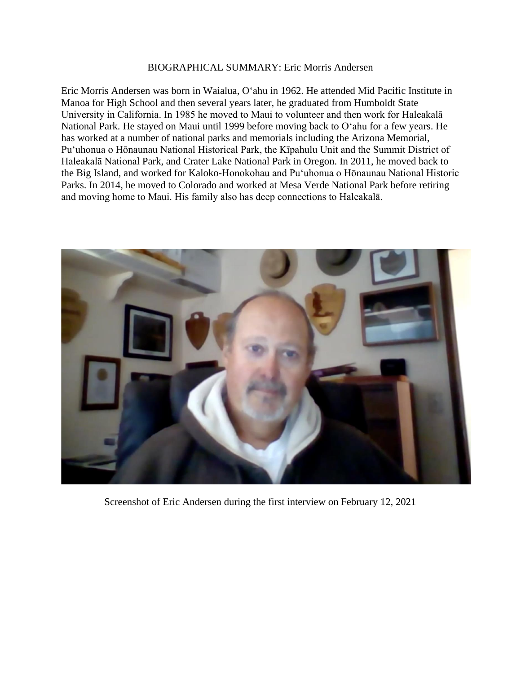## BIOGRAPHICAL SUMMARY: Eric Morris Andersen

Eric Morris Andersen was born in Waialua, Oʻahu in 1962. He attended Mid Pacific Institute in Manoa for High School and then several years later, he graduated from Humboldt State University in California. In 1985 he moved to Maui to volunteer and then work for Haleakalā National Park. He stayed on Maui until 1999 before moving back to Oʻahu for a few years. He has worked at a number of national parks and memorials including the Arizona Memorial, Puʻuhonua o Hōnaunau National Historical Park, the Kīpahulu Unit and the Summit District of Haleakalā National Park, and Crater Lake National Park in Oregon. In 2011, he moved back to the Big Island, and worked for Kaloko-Honokohau and Puʻuhonua o Hōnaunau National Historic Parks. In 2014, he moved to Colorado and worked at Mesa Verde National Park before retiring and moving home to Maui. His family also has deep connections to Haleakalā.



Screenshot of Eric Andersen during the first interview on February 12, 2021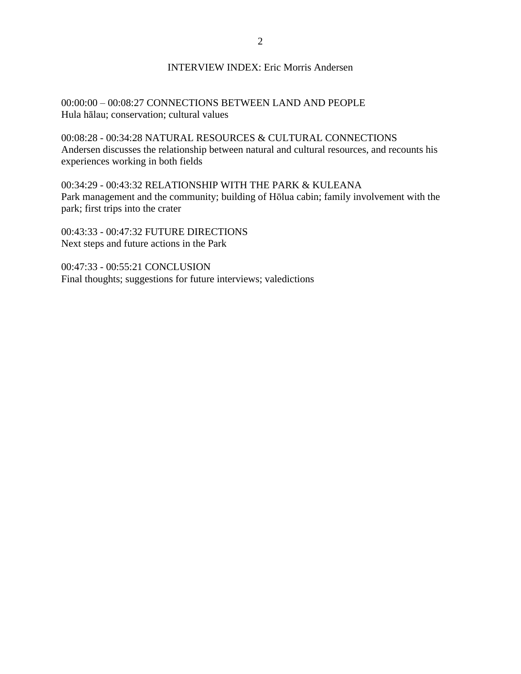## INTERVIEW INDEX: Eric Morris Andersen

00:00:00 – 00:08:27 CONNECTIONS BETWEEN LAND AND PEOPLE Hula hālau; conservation; cultural values

00:08:28 - 00:34:28 NATURAL RESOURCES & CULTURAL CONNECTIONS Andersen discusses the relationship between natural and cultural resources, and recounts his experiences working in both fields

00:34:29 - 00:43:32 RELATIONSHIP WITH THE PARK & KULEANA Park management and the community; building of Hōlua cabin; family involvement with the park; first trips into the crater

00:43:33 - 00:47:32 FUTURE DIRECTIONS Next steps and future actions in the Park

00:47:33 - 00:55:21 CONCLUSION Final thoughts; suggestions for future interviews; valedictions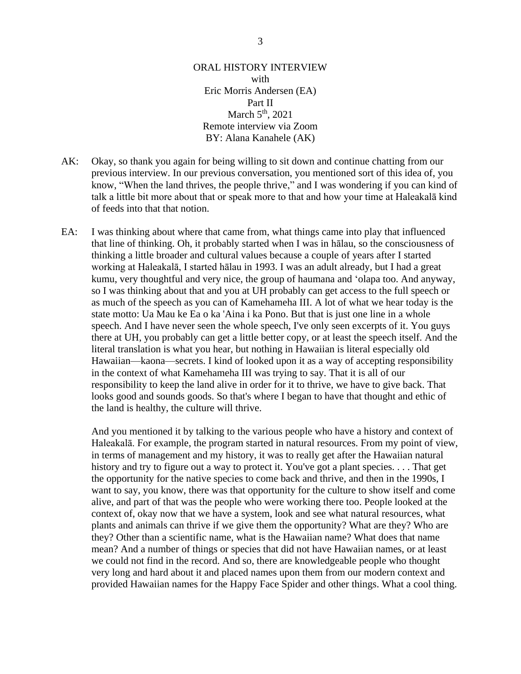## ORAL HISTORY INTERVIEW with Eric Morris Andersen (EA) Part II March  $5<sup>th</sup>$ , 2021 Remote interview via Zoom BY: Alana Kanahele (AK)

- AK: Okay, so thank you again for being willing to sit down and continue chatting from our previous interview. In our previous conversation, you mentioned sort of this idea of, you know, "When the land thrives, the people thrive," and I was wondering if you can kind of talk a little bit more about that or speak more to that and how your time at Haleakalā kind of feeds into that that notion.
- EA: I was thinking about where that came from, what things came into play that influenced that line of thinking. Oh, it probably started when I was in hālau, so the consciousness of thinking a little broader and cultural values because a couple of years after I started working at Haleakalā, I started hālau in 1993. I was an adult already, but I had a great kumu, very thoughtful and very nice, the group of haumana and ʻolapa too. And anyway, so I was thinking about that and you at UH probably can get access to the full speech or as much of the speech as you can of Kamehameha III. A lot of what we hear today is the state motto: Ua Mau ke Ea o ka 'Aina i ka Pono. But that is just one line in a whole speech. And I have never seen the whole speech, I've only seen excerpts of it. You guys there at UH, you probably can get a little better copy, or at least the speech itself. And the literal translation is what you hear, but nothing in Hawaiian is literal especially old Hawaiian—kaona—secrets. I kind of looked upon it as a way of accepting responsibility in the context of what Kamehameha III was trying to say. That it is all of our responsibility to keep the land alive in order for it to thrive, we have to give back. That looks good and sounds goods. So that's where I began to have that thought and ethic of the land is healthy, the culture will thrive.

And you mentioned it by talking to the various people who have a history and context of Haleakalā. For example, the program started in natural resources. From my point of view, in terms of management and my history, it was to really get after the Hawaiian natural history and try to figure out a way to protect it. You've got a plant species. . . . That get the opportunity for the native species to come back and thrive, and then in the 1990s, I want to say, you know, there was that opportunity for the culture to show itself and come alive, and part of that was the people who were working there too. People looked at the context of, okay now that we have a system, look and see what natural resources, what plants and animals can thrive if we give them the opportunity? What are they? Who are they? Other than a scientific name, what is the Hawaiian name? What does that name mean? And a number of things or species that did not have Hawaiian names, or at least we could not find in the record. And so, there are knowledgeable people who thought very long and hard about it and placed names upon them from our modern context and provided Hawaiian names for the Happy Face Spider and other things. What a cool thing.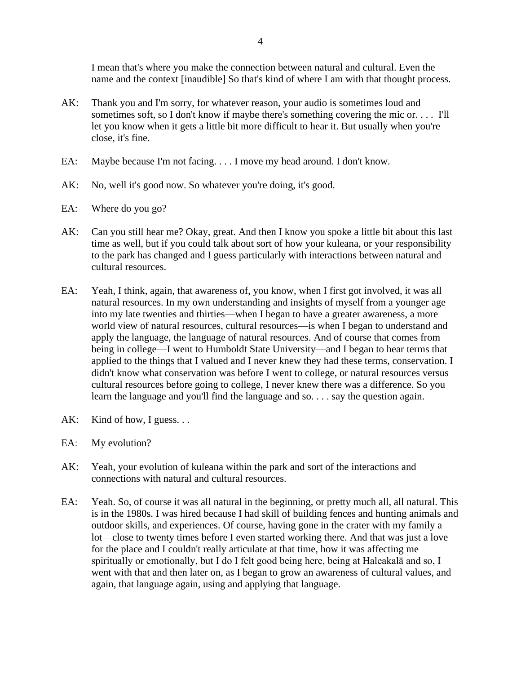I mean that's where you make the connection between natural and cultural. Even the name and the context [inaudible] So that's kind of where I am with that thought process.

- AK: Thank you and I'm sorry, for whatever reason, your audio is sometimes loud and sometimes soft, so I don't know if maybe there's something covering the mic or. . . . I'll let you know when it gets a little bit more difficult to hear it. But usually when you're close, it's fine.
- EA: Maybe because I'm not facing. . . . I move my head around. I don't know.
- AK: No, well it's good now. So whatever you're doing, it's good.
- EA: Where do you go?
- AK: Can you still hear me? Okay, great. And then I know you spoke a little bit about this last time as well, but if you could talk about sort of how your kuleana, or your responsibility to the park has changed and I guess particularly with interactions between natural and cultural resources.
- EA: Yeah, I think, again, that awareness of, you know, when I first got involved, it was all natural resources. In my own understanding and insights of myself from a younger age into my late twenties and thirties—when I began to have a greater awareness, a more world view of natural resources, cultural resources—is when I began to understand and apply the language, the language of natural resources. And of course that comes from being in college—I went to Humboldt State University—and I began to hear terms that applied to the things that I valued and I never knew they had these terms, conservation. I didn't know what conservation was before I went to college, or natural resources versus cultural resources before going to college, I never knew there was a difference. So you learn the language and you'll find the language and so. . . . say the question again.
- AK: Kind of how, I guess...
- EA: My evolution?
- AK: Yeah, your evolution of kuleana within the park and sort of the interactions and connections with natural and cultural resources.
- EA: Yeah. So, of course it was all natural in the beginning, or pretty much all, all natural. This is in the 1980s. I was hired because I had skill of building fences and hunting animals and outdoor skills, and experiences. Of course, having gone in the crater with my family a lot—close to twenty times before I even started working there. And that was just a love for the place and I couldn't really articulate at that time, how it was affecting me spiritually or emotionally, but I do I felt good being here, being at Haleakalā and so, I went with that and then later on, as I began to grow an awareness of cultural values, and again, that language again, using and applying that language.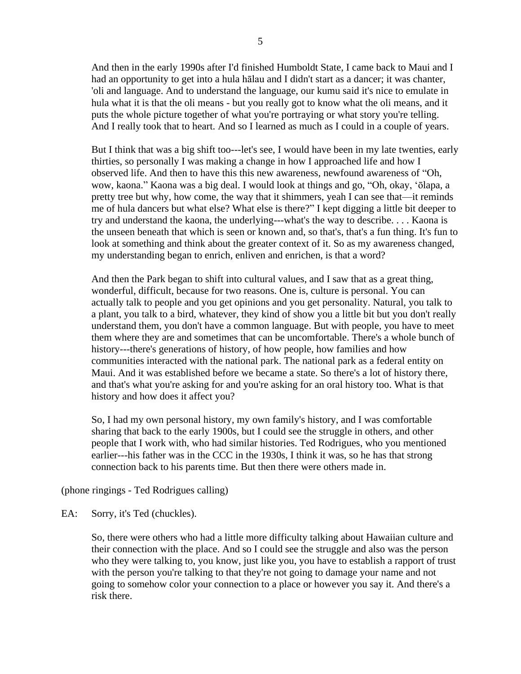And then in the early 1990s after I'd finished Humboldt State, I came back to Maui and I had an opportunity to get into a hula hālau and I didn't start as a dancer; it was chanter, 'oli and language. And to understand the language, our kumu said it's nice to emulate in hula what it is that the oli means - but you really got to know what the oli means, and it puts the whole picture together of what you're portraying or what story you're telling. And I really took that to heart. And so I learned as much as I could in a couple of years.

But I think that was a big shift too---let's see, I would have been in my late twenties, early thirties, so personally I was making a change in how I approached life and how I observed life. And then to have this this new awareness, newfound awareness of "Oh, wow, kaona." Kaona was a big deal. I would look at things and go, "Oh, okay, ʻōlapa, a pretty tree but why, how come, the way that it shimmers, yeah I can see that—it reminds me of hula dancers but what else? What else is there?" I kept digging a little bit deeper to try and understand the kaona, the underlying---what's the way to describe. . . . Kaona is the unseen beneath that which is seen or known and, so that's, that's a fun thing. It's fun to look at something and think about the greater context of it. So as my awareness changed, my understanding began to enrich, enliven and enrichen, is that a word?

And then the Park began to shift into cultural values, and I saw that as a great thing, wonderful, difficult, because for two reasons. One is, culture is personal. You can actually talk to people and you get opinions and you get personality. Natural, you talk to a plant, you talk to a bird, whatever, they kind of show you a little bit but you don't really understand them, you don't have a common language. But with people, you have to meet them where they are and sometimes that can be uncomfortable. There's a whole bunch of history---there's generations of history, of how people, how families and how communities interacted with the national park. The national park as a federal entity on Maui. And it was established before we became a state. So there's a lot of history there, and that's what you're asking for and you're asking for an oral history too. What is that history and how does it affect you?

So, I had my own personal history, my own family's history, and I was comfortable sharing that back to the early 1900s, but I could see the struggle in others, and other people that I work with, who had similar histories. Ted Rodrigues, who you mentioned earlier---his father was in the CCC in the 1930s, I think it was, so he has that strong connection back to his parents time. But then there were others made in.

(phone ringings - Ted Rodrigues calling)

EA: Sorry, it's Ted (chuckles).

So, there were others who had a little more difficulty talking about Hawaiian culture and their connection with the place. And so I could see the struggle and also was the person who they were talking to, you know, just like you, you have to establish a rapport of trust with the person you're talking to that they're not going to damage your name and not going to somehow color your connection to a place or however you say it. And there's a risk there.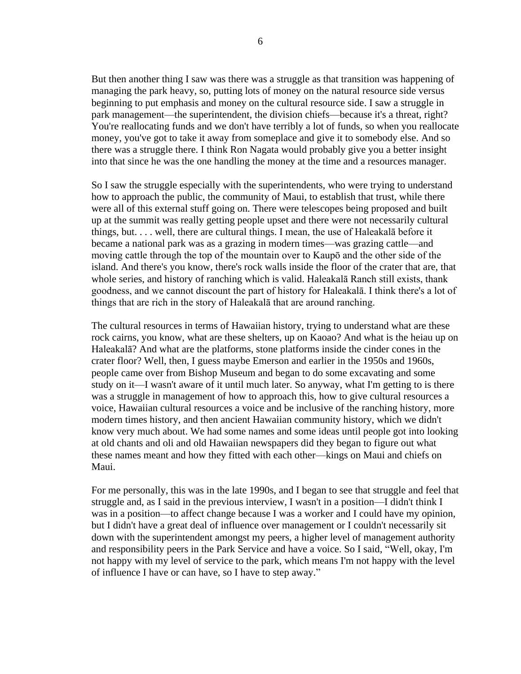But then another thing I saw was there was a struggle as that transition was happening of managing the park heavy, so, putting lots of money on the natural resource side versus beginning to put emphasis and money on the cultural resource side. I saw a struggle in park management—the superintendent, the division chiefs—because it's a threat, right? You're reallocating funds and we don't have terribly a lot of funds, so when you reallocate money, you've got to take it away from someplace and give it to somebody else. And so there was a struggle there. I think Ron Nagata would probably give you a better insight into that since he was the one handling the money at the time and a resources manager.

So I saw the struggle especially with the superintendents, who were trying to understand how to approach the public, the community of Maui, to establish that trust, while there were all of this external stuff going on. There were telescopes being proposed and built up at the summit was really getting people upset and there were not necessarily cultural things, but. . . . well, there are cultural things. I mean, the use of Haleakalā before it became a national park was as a grazing in modern times—was grazing cattle—and moving cattle through the top of the mountain over to Kaupō and the other side of the island. And there's you know, there's rock walls inside the floor of the crater that are, that whole series, and history of ranching which is valid. Haleakalā Ranch still exists, thank goodness, and we cannot discount the part of history for Haleakalā. I think there's a lot of things that are rich in the story of Haleakalā that are around ranching.

The cultural resources in terms of Hawaiian history, trying to understand what are these rock cairns, you know, what are these shelters, up on Kaoao? And what is the heiau up on Haleakalā? And what are the platforms, stone platforms inside the cinder cones in the crater floor? Well, then, I guess maybe Emerson and earlier in the 1950s and 1960s, people came over from Bishop Museum and began to do some excavating and some study on it—I wasn't aware of it until much later. So anyway, what I'm getting to is there was a struggle in management of how to approach this, how to give cultural resources a voice, Hawaiian cultural resources a voice and be inclusive of the ranching history, more modern times history, and then ancient Hawaiian community history, which we didn't know very much about. We had some names and some ideas until people got into looking at old chants and oli and old Hawaiian newspapers did they began to figure out what these names meant and how they fitted with each other—kings on Maui and chiefs on Maui.

For me personally, this was in the late 1990s, and I began to see that struggle and feel that struggle and, as I said in the previous interview, I wasn't in a position—I didn't think I was in a position—to affect change because I was a worker and I could have my opinion, but I didn't have a great deal of influence over management or I couldn't necessarily sit down with the superintendent amongst my peers, a higher level of management authority and responsibility peers in the Park Service and have a voice. So I said, "Well, okay, I'm not happy with my level of service to the park, which means I'm not happy with the level of influence I have or can have, so I have to step away."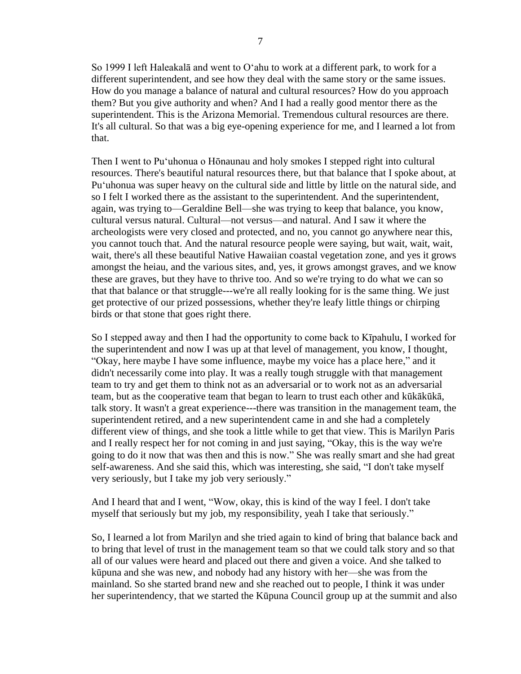So 1999 I left Haleakalā and went to Oʻahu to work at a different park, to work for a different superintendent, and see how they deal with the same story or the same issues. How do you manage a balance of natural and cultural resources? How do you approach them? But you give authority and when? And I had a really good mentor there as the superintendent. This is the Arizona Memorial. Tremendous cultural resources are there. It's all cultural. So that was a big eye-opening experience for me, and I learned a lot from that.

Then I went to Puʻuhonua o Hōnaunau and holy smokes I stepped right into cultural resources. There's beautiful natural resources there, but that balance that I spoke about, at Puʻuhonua was super heavy on the cultural side and little by little on the natural side, and so I felt I worked there as the assistant to the superintendent. And the superintendent, again, was trying to—Geraldine Bell—she was trying to keep that balance, you know, cultural versus natural. Cultural—not versus—and natural. And I saw it where the archeologists were very closed and protected, and no, you cannot go anywhere near this, you cannot touch that. And the natural resource people were saying, but wait, wait, wait, wait, there's all these beautiful Native Hawaiian coastal vegetation zone, and yes it grows amongst the heiau, and the various sites, and, yes, it grows amongst graves, and we know these are graves, but they have to thrive too. And so we're trying to do what we can so that that balance or that struggle---we're all really looking for is the same thing. We just get protective of our prized possessions, whether they're leafy little things or chirping birds or that stone that goes right there.

So I stepped away and then I had the opportunity to come back to Kīpahulu, I worked for the superintendent and now I was up at that level of management, you know, I thought, "Okay, here maybe I have some influence, maybe my voice has a place here," and it didn't necessarily come into play. It was a really tough struggle with that management team to try and get them to think not as an adversarial or to work not as an adversarial team, but as the cooperative team that began to learn to trust each other and kūkākūkā, talk story. It wasn't a great experience---there was transition in the management team, the superintendent retired, and a new superintendent came in and she had a completely different view of things, and she took a little while to get that view. This is Marilyn Paris and I really respect her for not coming in and just saying, "Okay, this is the way we're going to do it now that was then and this is now." She was really smart and she had great self-awareness. And she said this, which was interesting, she said, "I don't take myself very seriously, but I take my job very seriously."

And I heard that and I went, "Wow, okay, this is kind of the way I feel. I don't take myself that seriously but my job, my responsibility, yeah I take that seriously."

So, I learned a lot from Marilyn and she tried again to kind of bring that balance back and to bring that level of trust in the management team so that we could talk story and so that all of our values were heard and placed out there and given a voice. And she talked to kūpuna and she was new, and nobody had any history with her—she was from the mainland. So she started brand new and she reached out to people, I think it was under her superintendency, that we started the Kūpuna Council group up at the summit and also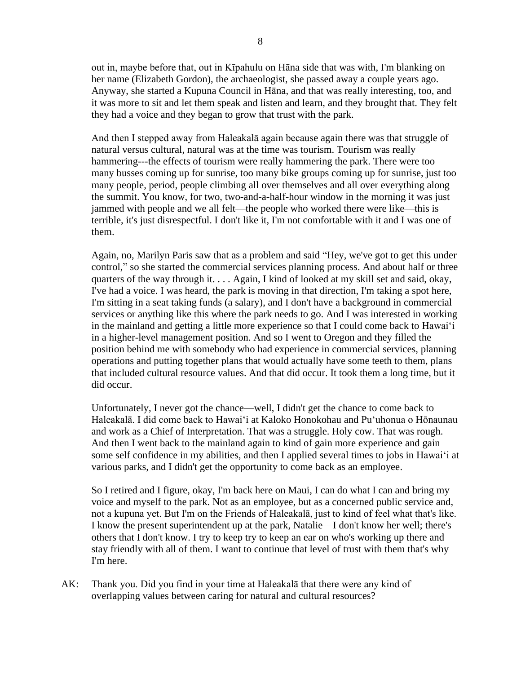out in, maybe before that, out in Kīpahulu on Hāna side that was with, I'm blanking on her name (Elizabeth Gordon), the archaeologist, she passed away a couple years ago. Anyway, she started a Kupuna Council in Hāna, and that was really interesting, too, and it was more to sit and let them speak and listen and learn, and they brought that. They felt they had a voice and they began to grow that trust with the park.

And then I stepped away from Haleakalā again because again there was that struggle of natural versus cultural, natural was at the time was tourism. Tourism was really hammering---the effects of tourism were really hammering the park. There were too many busses coming up for sunrise, too many bike groups coming up for sunrise, just too many people, period, people climbing all over themselves and all over everything along the summit. You know, for two, two-and-a-half-hour window in the morning it was just jammed with people and we all felt—the people who worked there were like—this is terrible, it's just disrespectful. I don't like it, I'm not comfortable with it and I was one of them.

Again, no, Marilyn Paris saw that as a problem and said "Hey, we've got to get this under control," so she started the commercial services planning process. And about half or three quarters of the way through it. . . . Again, I kind of looked at my skill set and said, okay, I've had a voice. I was heard, the park is moving in that direction, I'm taking a spot here, I'm sitting in a seat taking funds (a salary), and I don't have a background in commercial services or anything like this where the park needs to go. And I was interested in working in the mainland and getting a little more experience so that I could come back to Hawaiʻi in a higher-level management position. And so I went to Oregon and they filled the position behind me with somebody who had experience in commercial services, planning operations and putting together plans that would actually have some teeth to them, plans that included cultural resource values. And that did occur. It took them a long time, but it did occur.

Unfortunately, I never got the chance—well, I didn't get the chance to come back to Haleakalā. I did come back to Hawaiʻi at Kaloko Honokohau and Puʻuhonua o Hōnaunau and work as a Chief of Interpretation. That was a struggle. Holy cow. That was rough. And then I went back to the mainland again to kind of gain more experience and gain some self confidence in my abilities, and then I applied several times to jobs in Hawaiʻi at various parks, and I didn't get the opportunity to come back as an employee.

So I retired and I figure, okay, I'm back here on Maui, I can do what I can and bring my voice and myself to the park. Not as an employee, but as a concerned public service and, not a kupuna yet. But I'm on the Friends of Haleakalā, just to kind of feel what that's like. I know the present superintendent up at the park, Natalie—I don't know her well; there's others that I don't know. I try to keep try to keep an ear on who's working up there and stay friendly with all of them. I want to continue that level of trust with them that's why I'm here.

AK: Thank you. Did you find in your time at Haleakalā that there were any kind of overlapping values between caring for natural and cultural resources?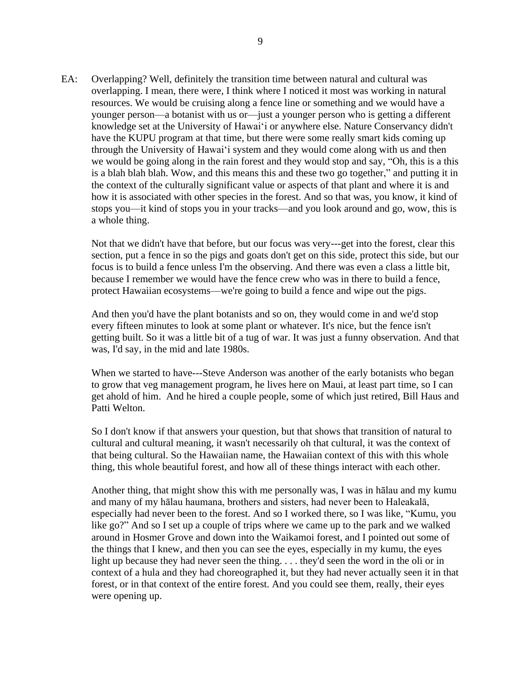EA: Overlapping? Well, definitely the transition time between natural and cultural was overlapping. I mean, there were, I think where I noticed it most was working in natural resources. We would be cruising along a fence line or something and we would have a younger person—a botanist with us or—just a younger person who is getting a different knowledge set at the University of Hawaiʻi or anywhere else. Nature Conservancy didn't have the KUPU program at that time, but there were some really smart kids coming up through the University of Hawaiʻi system and they would come along with us and then we would be going along in the rain forest and they would stop and say, "Oh, this is a this is a blah blah blah. Wow, and this means this and these two go together," and putting it in the context of the culturally significant value or aspects of that plant and where it is and how it is associated with other species in the forest. And so that was, you know, it kind of stops you—it kind of stops you in your tracks—and you look around and go, wow, this is a whole thing.

Not that we didn't have that before, but our focus was very---get into the forest, clear this section, put a fence in so the pigs and goats don't get on this side, protect this side, but our focus is to build a fence unless I'm the observing. And there was even a class a little bit, because I remember we would have the fence crew who was in there to build a fence, protect Hawaiian ecosystems—we're going to build a fence and wipe out the pigs.

And then you'd have the plant botanists and so on, they would come in and we'd stop every fifteen minutes to look at some plant or whatever. It's nice, but the fence isn't getting built. So it was a little bit of a tug of war. It was just a funny observation. And that was, I'd say, in the mid and late 1980s.

When we started to have---Steve Anderson was another of the early botanists who began to grow that veg management program, he lives here on Maui, at least part time, so I can get ahold of him. And he hired a couple people, some of which just retired, Bill Haus and Patti Welton.

So I don't know if that answers your question, but that shows that transition of natural to cultural and cultural meaning, it wasn't necessarily oh that cultural, it was the context of that being cultural. So the Hawaiian name, the Hawaiian context of this with this whole thing, this whole beautiful forest, and how all of these things interact with each other.

Another thing, that might show this with me personally was, I was in hālau and my kumu and many of my hālau haumana, brothers and sisters, had never been to Haleakalā, especially had never been to the forest. And so I worked there, so I was like, "Kumu, you like go?" And so I set up a couple of trips where we came up to the park and we walked around in Hosmer Grove and down into the Waikamoi forest, and I pointed out some of the things that I knew, and then you can see the eyes, especially in my kumu, the eyes light up because they had never seen the thing. . . . they'd seen the word in the oli or in context of a hula and they had choreographed it, but they had never actually seen it in that forest, or in that context of the entire forest. And you could see them, really, their eyes were opening up.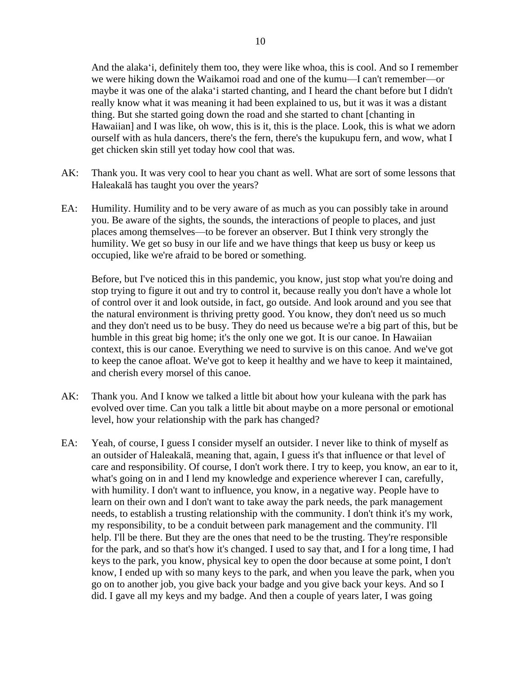And the alakaʻi, definitely them too, they were like whoa, this is cool. And so I remember we were hiking down the Waikamoi road and one of the kumu—I can't remember—or maybe it was one of the alakaʻi started chanting, and I heard the chant before but I didn't really know what it was meaning it had been explained to us, but it was it was a distant thing. But she started going down the road and she started to chant [chanting in Hawaiian] and I was like, oh wow, this is it, this is the place. Look, this is what we adorn ourself with as hula dancers, there's the fern, there's the kupukupu fern, and wow, what I get chicken skin still yet today how cool that was.

- AK: Thank you. It was very cool to hear you chant as well. What are sort of some lessons that Haleakalā has taught you over the years?
- EA: Humility. Humility and to be very aware of as much as you can possibly take in around you. Be aware of the sights, the sounds, the interactions of people to places, and just places among themselves—to be forever an observer. But I think very strongly the humility. We get so busy in our life and we have things that keep us busy or keep us occupied, like we're afraid to be bored or something.

Before, but I've noticed this in this pandemic, you know, just stop what you're doing and stop trying to figure it out and try to control it, because really you don't have a whole lot of control over it and look outside, in fact, go outside. And look around and you see that the natural environment is thriving pretty good. You know, they don't need us so much and they don't need us to be busy. They do need us because we're a big part of this, but be humble in this great big home; it's the only one we got. It is our canoe. In Hawaiian context, this is our canoe. Everything we need to survive is on this canoe. And we've got to keep the canoe afloat. We've got to keep it healthy and we have to keep it maintained, and cherish every morsel of this canoe.

- AK: Thank you. And I know we talked a little bit about how your kuleana with the park has evolved over time. Can you talk a little bit about maybe on a more personal or emotional level, how your relationship with the park has changed?
- EA: Yeah, of course, I guess I consider myself an outsider. I never like to think of myself as an outsider of Haleakalā, meaning that, again, I guess it's that influence or that level of care and responsibility. Of course, I don't work there. I try to keep, you know, an ear to it, what's going on in and I lend my knowledge and experience wherever I can, carefully, with humility. I don't want to influence, you know, in a negative way. People have to learn on their own and I don't want to take away the park needs, the park management needs, to establish a trusting relationship with the community. I don't think it's my work, my responsibility, to be a conduit between park management and the community. I'll help. I'll be there. But they are the ones that need to be the trusting. They're responsible for the park, and so that's how it's changed. I used to say that, and I for a long time, I had keys to the park, you know, physical key to open the door because at some point, I don't know, I ended up with so many keys to the park, and when you leave the park, when you go on to another job, you give back your badge and you give back your keys. And so I did. I gave all my keys and my badge. And then a couple of years later, I was going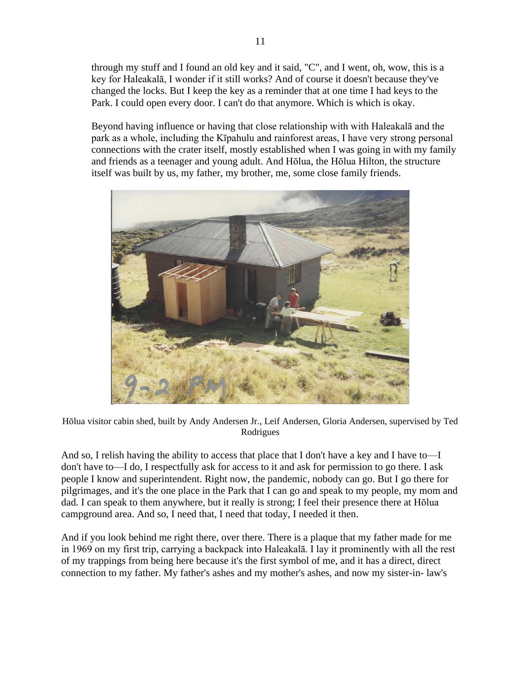through my stuff and I found an old key and it said, "C", and I went, oh, wow, this is a key for Haleakalā, I wonder if it still works? And of course it doesn't because they've changed the locks. But I keep the key as a reminder that at one time I had keys to the Park. I could open every door. I can't do that anymore. Which is which is okay.

Beyond having influence or having that close relationship with with Haleakalā and the park as a whole, including the Kīpahulu and rainforest areas, I have very strong personal connections with the crater itself, mostly established when I was going in with my family and friends as a teenager and young adult. And Hōlua, the Hōlua Hilton, the structure itself was built by us, my father, my brother, me, some close family friends.



Hōlua visitor cabin shed, built by Andy Andersen Jr., Leif Andersen, Gloria Andersen, supervised by Ted Rodrigues

And so, I relish having the ability to access that place that I don't have a key and I have to—I don't have to—I do, I respectfully ask for access to it and ask for permission to go there. I ask people I know and superintendent. Right now, the pandemic, nobody can go. But I go there for pilgrimages, and it's the one place in the Park that I can go and speak to my people, my mom and dad. I can speak to them anywhere, but it really is strong; I feel their presence there at Hōlua campground area. And so, I need that, I need that today, I needed it then.

And if you look behind me right there, over there. There is a plaque that my father made for me in 1969 on my first trip, carrying a backpack into Haleakalā. I lay it prominently with all the rest of my trappings from being here because it's the first symbol of me, and it has a direct, direct connection to my father. My father's ashes and my mother's ashes, and now my sister-in- law's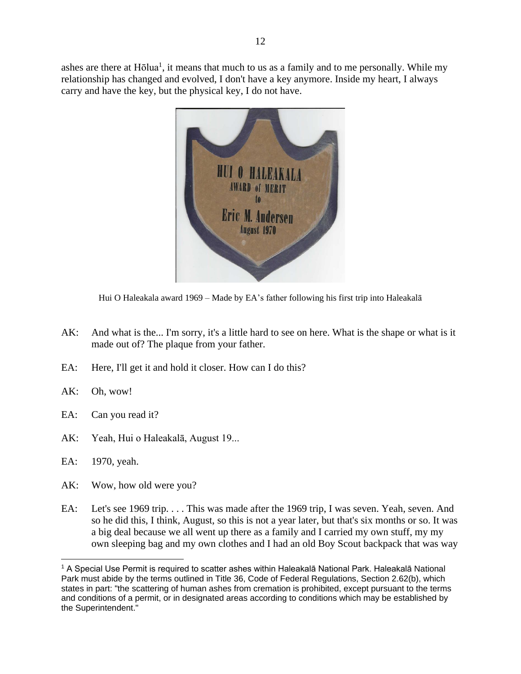ashes are there at Hōlua<sup>1</sup>, it means that much to us as a family and to me personally. While my relationship has changed and evolved, I don't have a key anymore. Inside my heart, I always carry and have the key, but the physical key, I do not have.



Hui O Haleakala award 1969 – Made by EA's father following his first trip into Haleakalā

- AK: And what is the... I'm sorry, it's a little hard to see on here. What is the shape or what is it made out of? The plaque from your father.
- EA: Here, I'll get it and hold it closer. How can I do this?
- AK: Oh, wow!
- EA: Can you read it?
- AK: Yeah, Hui o Haleakalā, August 19...
- EA: 1970, yeah.
- AK: Wow, how old were you?
- EA: Let's see 1969 trip. . . . This was made after the 1969 trip, I was seven. Yeah, seven. And so he did this, I think, August, so this is not a year later, but that's six months or so. It was a big deal because we all went up there as a family and I carried my own stuff, my my own sleeping bag and my own clothes and I had an old Boy Scout backpack that was way

<sup>1</sup> A Special Use Permit is required to scatter ashes within Haleakalā National Park. Haleakalā National Park must abide by the terms outlined in Title 36, Code of Federal Regulations, Section 2.62(b), which states in part: "the scattering of human ashes from cremation is prohibited, except pursuant to the terms and conditions of a permit, or in designated areas according to conditions which may be established by the Superintendent."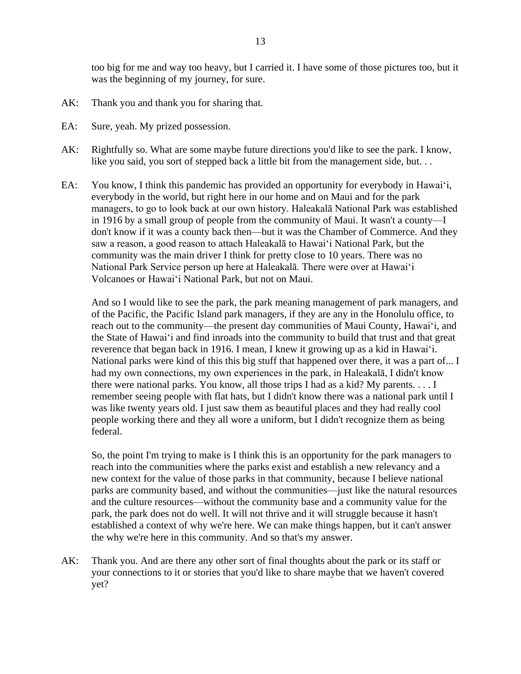too big for me and way too heavy, but I carried it. I have some of those pictures too, but it was the beginning of my journey, for sure.

- AK: Thank you and thank you for sharing that.
- EA: Sure, yeah. My prized possession.
- AK: Rightfully so. What are some maybe future directions you'd like to see the park. I know, like you said, you sort of stepped back a little bit from the management side, but. . .
- EA: You know, I think this pandemic has provided an opportunity for everybody in Hawaiʻi, everybody in the world, but right here in our home and on Maui and for the park managers, to go to look back at our own history. Haleakalā National Park was established in 1916 by a small group of people from the community of Maui. It wasn't a county—I don't know if it was a county back then—but it was the Chamber of Commerce. And they saw a reason, a good reason to attach Haleakalā to Hawaiʻi National Park, but the community was the main driver I think for pretty close to 10 years. There was no National Park Service person up here at Haleakalā. There were over at Hawaiʻi Volcanoes or Hawaiʻi National Park, but not on Maui.

And so I would like to see the park, the park meaning management of park managers, and of the Pacific, the Pacific Island park managers, if they are any in the Honolulu office, to reach out to the community—the present day communities of Maui County, Hawaiʻi, and the State of Hawaiʻi and find inroads into the community to build that trust and that great reverence that began back in 1916. I mean, I knew it growing up as a kid in Hawaiʻi. National parks were kind of this this big stuff that happened over there, it was a part of... I had my own connections, my own experiences in the park, in Haleakalā, I didn't know there were national parks. You know, all those trips I had as a kid? My parents. . . . I remember seeing people with flat hats, but I didn't know there was a national park until I was like twenty years old. I just saw them as beautiful places and they had really cool people working there and they all wore a uniform, but I didn't recognize them as being federal.

So, the point I'm trying to make is I think this is an opportunity for the park managers to reach into the communities where the parks exist and establish a new relevancy and a new context for the value of those parks in that community, because I believe national parks are community based, and without the communities—just like the natural resources and the culture resources—without the community base and a community value for the park, the park does not do well. It will not thrive and it will struggle because it hasn't established a context of why we're here. We can make things happen, but it can't answer the why we're here in this community. And so that's my answer.

AK: Thank you. And are there any other sort of final thoughts about the park or its staff or your connections to it or stories that you'd like to share maybe that we haven't covered yet?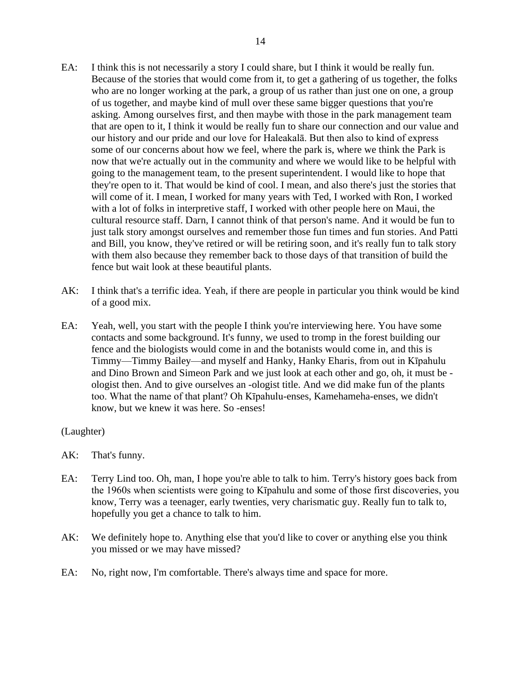- EA: I think this is not necessarily a story I could share, but I think it would be really fun. Because of the stories that would come from it, to get a gathering of us together, the folks who are no longer working at the park, a group of us rather than just one on one, a group of us together, and maybe kind of mull over these same bigger questions that you're asking. Among ourselves first, and then maybe with those in the park management team that are open to it, I think it would be really fun to share our connection and our value and our history and our pride and our love for Haleakalā. But then also to kind of express some of our concerns about how we feel, where the park is, where we think the Park is now that we're actually out in the community and where we would like to be helpful with going to the management team, to the present superintendent. I would like to hope that they're open to it. That would be kind of cool. I mean, and also there's just the stories that will come of it. I mean, I worked for many years with Ted, I worked with Ron, I worked with a lot of folks in interpretive staff, I worked with other people here on Maui, the cultural resource staff. Darn, I cannot think of that person's name. And it would be fun to just talk story amongst ourselves and remember those fun times and fun stories. And Patti and Bill, you know, they've retired or will be retiring soon, and it's really fun to talk story with them also because they remember back to those days of that transition of build the fence but wait look at these beautiful plants.
- AK: I think that's a terrific idea. Yeah, if there are people in particular you think would be kind of a good mix.
- EA: Yeah, well, you start with the people I think you're interviewing here. You have some contacts and some background. It's funny, we used to tromp in the forest building our fence and the biologists would come in and the botanists would come in, and this is Timmy—Timmy Bailey—and myself and Hanky, Hanky Eharis, from out in Kīpahulu and Dino Brown and Simeon Park and we just look at each other and go, oh, it must be ologist then. And to give ourselves an -ologist title. And we did make fun of the plants too. What the name of that plant? Oh Kīpahulu-enses, Kamehameha-enses, we didn't know, but we knew it was here. So -enses!

(Laughter)

- AK: That's funny.
- EA: Terry Lind too. Oh, man, I hope you're able to talk to him. Terry's history goes back from the 1960s when scientists were going to Kīpahulu and some of those first discoveries, you know, Terry was a teenager, early twenties, very charismatic guy. Really fun to talk to, hopefully you get a chance to talk to him.
- AK: We definitely hope to. Anything else that you'd like to cover or anything else you think you missed or we may have missed?
- EA: No, right now, I'm comfortable. There's always time and space for more.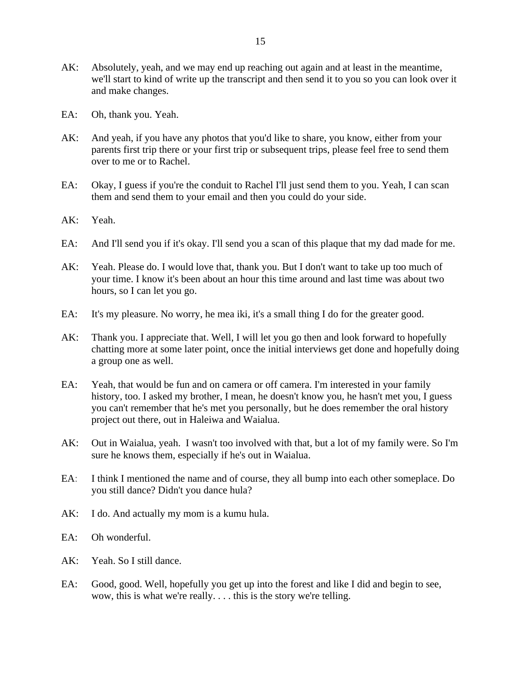- AK: Absolutely, yeah, and we may end up reaching out again and at least in the meantime, we'll start to kind of write up the transcript and then send it to you so you can look over it and make changes.
- EA: Oh, thank you. Yeah.
- AK: And yeah, if you have any photos that you'd like to share, you know, either from your parents first trip there or your first trip or subsequent trips, please feel free to send them over to me or to Rachel.
- EA: Okay, I guess if you're the conduit to Rachel I'll just send them to you. Yeah, I can scan them and send them to your email and then you could do your side.
- AK: Yeah.
- EA: And I'll send you if it's okay. I'll send you a scan of this plaque that my dad made for me.
- AK: Yeah. Please do. I would love that, thank you. But I don't want to take up too much of your time. I know it's been about an hour this time around and last time was about two hours, so I can let you go.
- EA: It's my pleasure. No worry, he mea iki, it's a small thing I do for the greater good.
- AK: Thank you. I appreciate that. Well, I will let you go then and look forward to hopefully chatting more at some later point, once the initial interviews get done and hopefully doing a group one as well.
- EA: Yeah, that would be fun and on camera or off camera. I'm interested in your family history, too. I asked my brother, I mean, he doesn't know you, he hasn't met you, I guess you can't remember that he's met you personally, but he does remember the oral history project out there, out in Haleiwa and Waialua.
- AK: Out in Waialua, yeah. I wasn't too involved with that, but a lot of my family were. So I'm sure he knows them, especially if he's out in Waialua.
- EA: I think I mentioned the name and of course, they all bump into each other someplace. Do you still dance? Didn't you dance hula?
- AK: I do. And actually my mom is a kumu hula.
- EA: Oh wonderful.
- AK: Yeah. So I still dance.
- EA: Good, good. Well, hopefully you get up into the forest and like I did and begin to see, wow, this is what we're really. . . . this is the story we're telling.